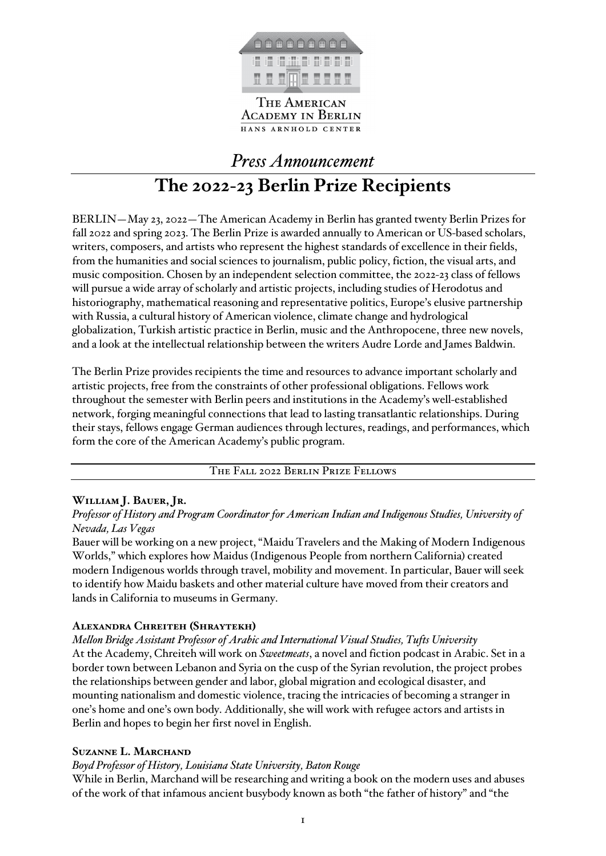

THE AMERICAN **ACADEMY IN BERLIN** HANS ARNHOLD CENTER

*Press Announcement*

# **The 2022-23 Berlin Prize Recipients**

BERLIN—May 23, 2022—The American Academy in Berlin has granted twenty Berlin Prizes for fall 2022 and spring 2023. The Berlin Prize is awarded annually to American or US-based scholars, writers, composers, and artists who represent the highest standards of excellence in their fields, from the humanities and social sciences to journalism, public policy, fiction, the visual arts, and music composition. Chosen by an independent selection committee, the 2022-23 class of fellows will pursue a wide array of scholarly and artistic projects, including studies of Herodotus and historiography, mathematical reasoning and representative politics, Europe's elusive partnership with Russia, a cultural history of American violence, climate change and hydrological globalization, Turkish artistic practice in Berlin, music and the Anthropocene, three new novels, and a look at the intellectual relationship between the writers Audre Lorde and James Baldwin.

The Berlin Prize provides recipients the time and resources to advance important scholarly and artistic projects, free from the constraints of other professional obligations. Fellows work throughout the semester with Berlin peers and institutions in the Academy's well-established network, forging meaningful connections that lead to lasting transatlantic relationships. During their stays, fellows engage German audiences through lectures, readings, and performances, which form the core of the American Academy's public program.

The Fall 2022 Berlin Prize Fellows

# **William J. Bauer, Jr.**

*Professor of History and Program Coordinator for American Indian and Indigenous Studies, University of Nevada, Las Vegas*

Bauer will be working on a new project, "Maidu Travelers and the Making of Modern Indigenous Worlds," which explores how Maidus (Indigenous People from northern California) created modern Indigenous worlds through travel, mobility and movement. In particular, Bauer will seek to identify how Maidu baskets and other material culture have moved from their creators and lands in California to museums in Germany.

# **Alexandra Chreiteh (Shraytekh)**

*Mellon Bridge Assistant Professor of Arabic and International Visual Studies, Tufts University* At the Academy, Chreiteh will work on *Sweetmeats*, a novel and fiction podcast in Arabic. Set in a border town between Lebanon and Syria on the cusp of the Syrian revolution, the project probes the relationships between gender and labor, global migration and ecological disaster, and mounting nationalism and domestic violence, tracing the intricacies of becoming a stranger in one's home and one's own body. Additionally, she will work with refugee actors and artists in Berlin and hopes to begin her first novel in English.

## **Suzanne L. Marchand**

*Boyd Professor of History, Louisiana State University, Baton Rouge*

While in Berlin, Marchand will be researching and writing a book on the modern uses and abuses of the work of that infamous ancient busybody known as both "the father of history" and "the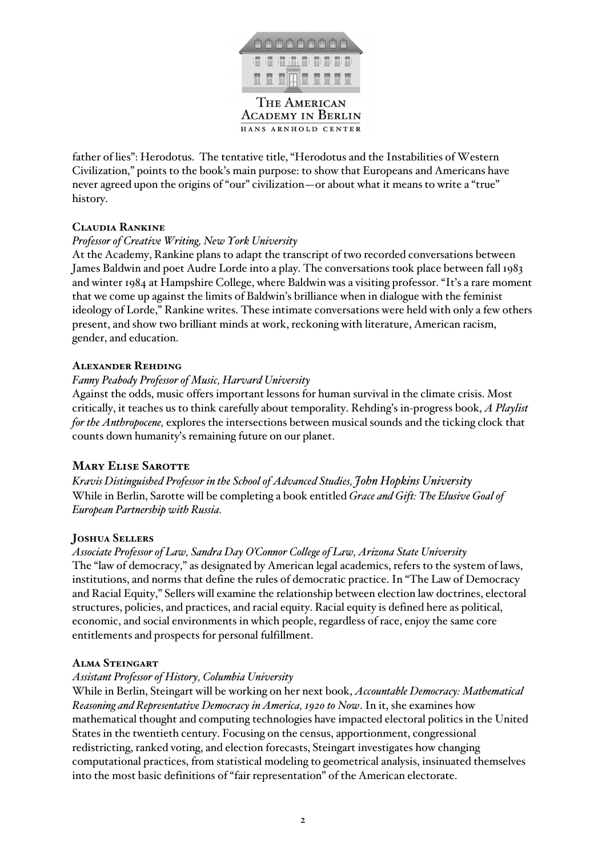

father of lies": Herodotus. The tentative title, "Herodotus and the Instabilities of Western Civilization," points to the book's main purpose: to show that Europeans and Americans have never agreed upon the origins of "our" civilization—or about what it means to write a "true" history.

# **Claudia Rankine**

# *Professor of Creative Writing, New York University*

At the Academy, Rankine plans to adapt the transcript of two recorded conversations between James Baldwin and poet Audre Lorde into a play. The conversations took place between fall 1983 and winter 1984 at Hampshire College, where Baldwin was a visiting professor. "It's a rare moment that we come up against the limits of Baldwin's brilliance when in dialogue with the feminist ideology of Lorde," Rankine writes. These intimate conversations were held with only a few others present, and show two brilliant minds at work, reckoning with literature, American racism, gender, and education.

# **Alexander Rehding**

# *Fanny Peabody Professor of Music, Harvard University*

Against the odds, music offers important lessons for human survival in the climate crisis. Most critically, it teaches us to think carefully about temporality. Rehding's in-progress book, *A Playlist for the Anthropocene,* explores the intersections between musical sounds and the ticking clock that counts down humanity's remaining future on our planet.

## **Mary Elise Sarotte**

*Kravis Distinguished Professor in the School of Advanced Studies, John Hopkins University* While in Berlin, Sarotte will be completing a book entitled *Grace and Gift: The Elusive Goal of European Partnership with Russia.*

## **Joshua Sellers**

*Associate Professor of Law, Sandra Day O'Connor College of Law, Arizona State University* The "law of democracy," as designated by American legal academics, refers to the system of laws, institutions, and norms that define the rules of democratic practice. In "The Law of Democracy and Racial Equity," Sellers will examine the relationship between election law doctrines, electoral structures, policies, and practices, and racial equity. Racial equity is defined here as political, economic, and social environments in which people, regardless of race, enjoy the same core entitlements and prospects for personal fulfillment.

## **Alma Steingart**

## *Assistant Professor of History, Columbia University*

While in Berlin, Steingart will be working on her next book, *Accountable Democracy: Mathematical Reasoning and Representative Democracy in America, 1920 to Now*. In it, she examines how mathematical thought and computing technologies have impacted electoral politics in the United States in the twentieth century. Focusing on the census, apportionment, congressional redistricting, ranked voting, and election forecasts, Steingart investigates how changing computational practices, from statistical modeling to geometrical analysis, insinuated themselves into the most basic definitions of "fair representation" of the American electorate.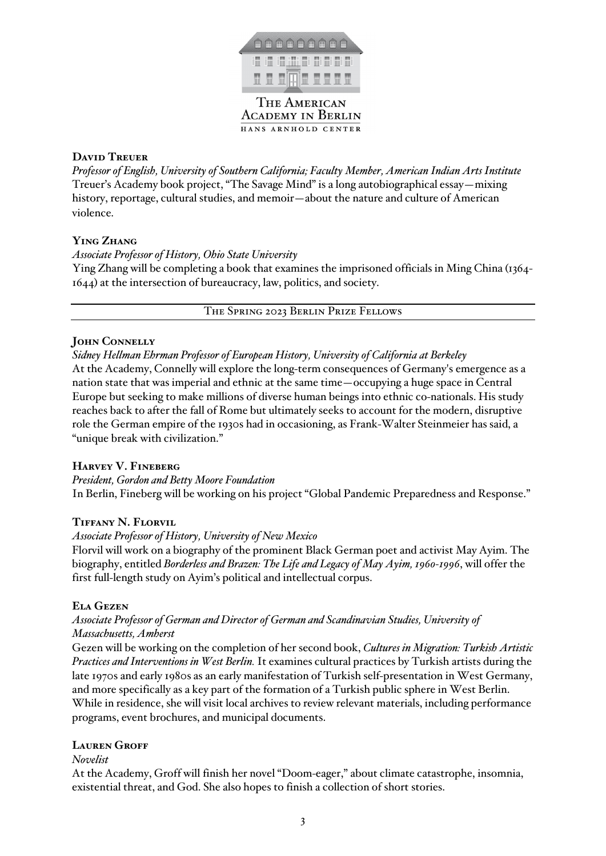

HANS ARNHOLD CENTER

# **David Treuer**

*Professor of English, University of Southern California; Faculty Member, American Indian Arts Institute* Treuer's Academy book project, "The Savage Mind" is a long autobiographical essay—mixing history, reportage, cultural studies, and memoir—about the nature and culture of American violence.

# **Ying Zhang**

## *Associate Professor of History, Ohio State University*

Ying Zhang will be completing a book that examines the imprisoned officials in Ming China (1364- 1644) at the intersection of bureaucracy, law, politics, and society.

The Spring 2023 Berlin Prize Fellows

# **John Connelly**

*Sidney Hellman Ehrman Professor of European History, University of California at Berkeley* At the Academy, Connelly will explore the long-term consequences of Germany's emergence as a nation state that was imperial and ethnic at the same time—occupying a huge space in Central Europe but seeking to make millions of diverse human beings into ethnic co-nationals. His study reaches back to after the fall of Rome but ultimately seeks to account for the modern, disruptive role the German empire of the 1930s had in occasioning, as Frank-Walter Steinmeier has said, a "unique break with civilization."

# **Harvey V. Fineberg**

*President, Gordon and Betty Moore Foundation* In Berlin, Fineberg will be working on his project "Global Pandemic Preparedness and Response."

# **Tiffany N. Florvil**

## *Associate Professor of History, University of New Mexico*

Florvil will work on a biography of the prominent Black German poet and activist May Ayim. The biography, entitled *Borderless and Brazen: The Life and Legacy of May Ayim, 1960-1996*, will offer the first full-length study on Ayim's political and intellectual corpus.

## **Ela Gezen**

## *Associate Professor of German and Director of German and Scandinavian Studies, University of Massachusetts, Amherst*

Gezen will be working on the completion of her second book, *Cultures in Migration: Turkish Artistic Practices and Interventions in West Berlin.* It examines cultural practices by Turkish artists during the late 1970s and early 1980s as an early manifestation of Turkish self-presentation in West Germany, and more specifically as a key part of the formation of a Turkish public sphere in West Berlin. While in residence, she will visit local archives to review relevant materials, including performance programs, event brochures, and municipal documents.

# **Lauren Groff**

#### *Novelist*

At the Academy, Groff will finish her novel "Doom-eager," about climate catastrophe, insomnia, existential threat, and God. She also hopes to finish a collection of short stories.